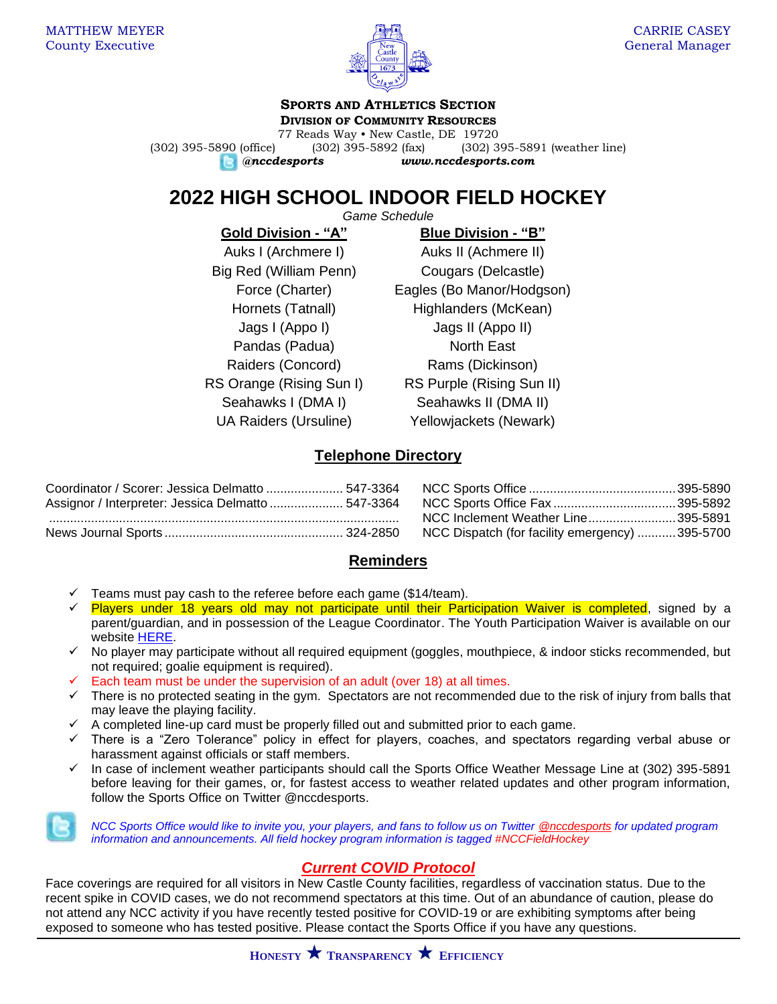

#### **SPORTS AND ATHLETICS SECTION DIVISION OF COMMUNITY RESOURCES**

77 Reads Way • New Castle, DE 19720 (302) 395-5890 (office) (302) 395-5892 (fax) (302) 395-5891 (weather line) *@nccdesports www.nccdesports.com*

# **2022 HIGH SCHOOL INDOOR FIELD HOCKEY**

*Game Schedule*

**Gold Division - "A" Blue Division - "B"** Big Red (William Penn) Cougars (Delcastle) Pandas (Padua) North East

Auks I (Archmere I) Auks II (Achmere II) Force (Charter) Eagles (Bo Manor/Hodgson) Hornets (Tatnall) Highlanders (McKean) Jags I (Appo I) Jags II (Appo II) Raiders (Concord) Rams (Dickinson) RS Orange (Rising Sun I) RS Purple (Rising Sun II) Seahawks I (DMA I) Seahawks II (DMA II) UA Raiders (Ursuline) Yellowjackets (Newark)

# **Telephone Directory**

| Coordinator / Scorer: Jessica Delmatto  547-3364   |                                                |  |
|----------------------------------------------------|------------------------------------------------|--|
| Assignor / Interpreter: Jessica Delmatto  547-3364 |                                                |  |
|                                                    | NCC Inclement Weather Line395-5891             |  |
|                                                    | NCC Dispatch (for facility emergency) 395-5700 |  |

| NCC Inclement Weather Line395-5891             |  |
|------------------------------------------------|--|
| NCC Dispatch (for facility emergency) 395-5700 |  |

### **Reminders**

- Teams must pay cash to the referee before each game (\$14/team).
- ✓ Players under 18 years old may not participate until their Participation Waiver is completed, signed by a parent/guardian, and in possession of the League Coordinator. The Youth Participation Waiver is available on our website [HERE.](https://www.newcastlede.gov/DocumentCenter/View/1531/Youth-Waiver?bidId=)
- No player may participate without all required equipment (goggles, mouthpiece, & indoor sticks recommended, but not required; goalie equipment is required).
- Each team must be under the supervision of an adult (over 18) at all times.
- ✓ There is no protected seating in the gym. Spectators are not recommended due to the risk of injury from balls that may leave the playing facility.
- ✓ A completed line-up card must be properly filled out and submitted prior to each game.
- ✓ There is a "Zero Tolerance" policy in effect for players, coaches, and spectators regarding verbal abuse or harassment against officials or staff members.
- In case of inclement weather participants should call the Sports Office Weather Message Line at (302) 395-5891 before leaving for their games, or, for fastest access to weather related updates and other program information, follow the Sports Office on Twitter @nccdesports.

*NCC Sports Office would like to invite you, your players, and fans to follow us on Twitter [@nccdesports](http://www.twitter.com/nccdesports) for updated program information and announcements. All field hockey program information is tagged #NCCFieldHockey*

# *Current COVID Protocol*

Face coverings are required for all visitors in New Castle County facilities, regardless of vaccination status. Due to the recent spike in COVID cases, we do not recommend spectators at this time. Out of an abundance of caution, please do not attend any NCC activity if you have recently tested positive for COVID-19 or are exhibiting symptoms after being exposed to someone who has tested positive. Please contact the Sports Office if you have any questions.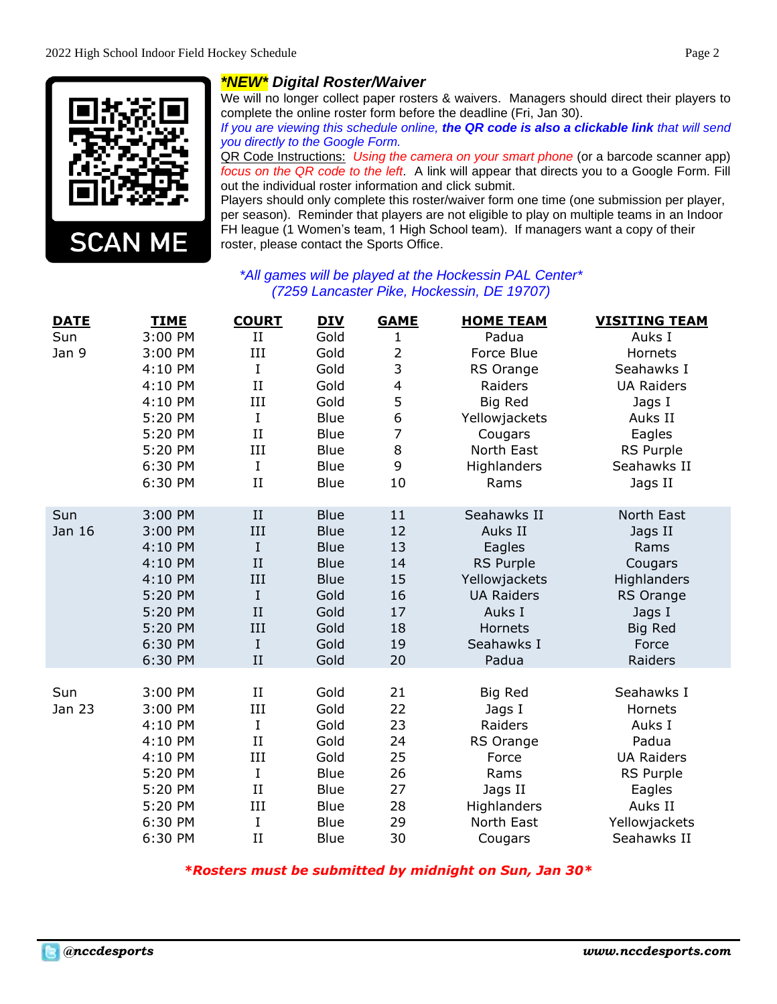

## *\*NEW\* Digital Roster/Waiver*

We will no longer collect paper rosters & waivers. Managers should direct their players to complete the online roster form before the deadline (Fri, Jan 30).

*If you are viewing this schedule online, the QR code is also a clickable link that will send you directly to the Google Form.*

QR Code Instructions: *Using the camera on your smart phone* (or a barcode scanner app) *focus on the QR code to the left*. A link will appear that directs you to a Google Form. Fill out the individual roster information and click submit.

Players should only complete this roster/waiver form one time (one submission per player, per season). Reminder that players are not eligible to play on multiple teams in an Indoor FH league (1 Women's team, 1 High School team). If managers want a copy of their roster, please contact the Sports Office.

#### *\*All games will be played at the Hockessin PAL Center\* (7259 Lancaster Pike, Hockessin, DE 19707)*

| <b>DATE</b> | <b>TIME</b> | <b>COURT</b> | <b>DIV</b>  | <b>GAME</b>    | <b>HOME TEAM</b>  | <b>VISITING TEAM</b> |
|-------------|-------------|--------------|-------------|----------------|-------------------|----------------------|
| Sun         | 3:00 PM     | II           | Gold        | 1              | Padua             | Auks I               |
| Jan 9       | 3:00 PM     | III          | Gold        | $\overline{2}$ | Force Blue        | Hornets              |
|             | 4:10 PM     | I            | Gold        | 3              | RS Orange         | Seahawks I           |
|             | 4:10 PM     | II           | Gold        | 4              | Raiders           | <b>UA Raiders</b>    |
|             | 4:10 PM     | III          | Gold        | 5              | Big Red           | Jags I               |
|             | 5:20 PM     | I            | <b>Blue</b> | 6              | Yellowjackets     | Auks II              |
|             | 5:20 PM     | II           | <b>Blue</b> | 7              | Cougars           | Eagles               |
|             | 5:20 PM     | III          | <b>Blue</b> | 8              | North East        | RS Purple            |
|             | 6:30 PM     | I            | <b>Blue</b> | 9              | Highlanders       | Seahawks II          |
|             | 6:30 PM     | II           | <b>Blue</b> | 10             | Rams              | Jags II              |
| Sun         | 3:00 PM     | II           | <b>Blue</b> | 11             | Seahawks II       | North East           |
| Jan 16      | 3:00 PM     | III          | <b>Blue</b> | 12             | Auks II           | Jags II              |
|             | 4:10 PM     | $\rm I$      | <b>Blue</b> | 13             | Eagles            | Rams                 |
|             | 4:10 PM     | II           | <b>Blue</b> | 14             | <b>RS Purple</b>  | Cougars              |
|             | 4:10 PM     | III          | <b>Blue</b> | 15             | Yellowjackets     | Highlanders          |
|             | 5:20 PM     | $\rm I$      | Gold        | 16             | <b>UA Raiders</b> | <b>RS Orange</b>     |
|             | 5:20 PM     | II           | Gold        | 17             | Auks I            | Jags I               |
|             | 5:20 PM     | III          | Gold        | 18             | Hornets           | <b>Big Red</b>       |
|             | 6:30 PM     | $\rm I$      | Gold        | 19             | Seahawks I        | Force                |
|             | 6:30 PM     | II           | Gold        | 20             | Padua             | Raiders              |
| Sun         | 3:00 PM     | $_{\rm II}$  | Gold        | 21             | Big Red           | Seahawks I           |
| Jan 23      | 3:00 PM     | III          | Gold        | 22             | Jags I            | Hornets              |
|             | 4:10 PM     | I            | Gold        | 23             | Raiders           | Auks I               |
|             | 4:10 PM     | II           | Gold        | 24             | RS Orange         | Padua                |
|             | 4:10 PM     | III          | Gold        | 25             | Force             | <b>UA Raiders</b>    |
|             | 5:20 PM     | I            | Blue        | 26             | Rams              | RS Purple            |
|             | 5:20 PM     | II           | <b>Blue</b> | 27             | Jags II           | Eagles               |
|             | 5:20 PM     | III          | Blue        | 28             | Highlanders       | Auks II              |
|             | 6:30 PM     | I            | <b>Blue</b> | 29             | North East        | Yellowjackets        |
|             | 6:30 PM     | II           | Blue        | 30             | Cougars           | Seahawks II          |

*\*Rosters must be submitted by midnight on Sun, Jan 30\**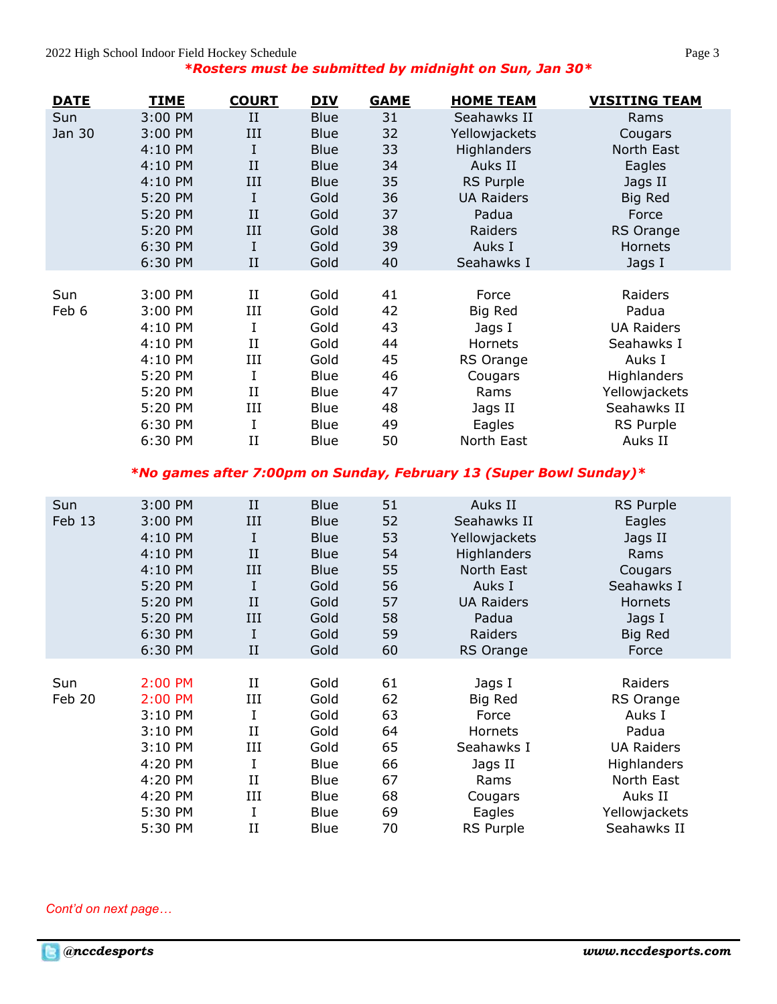| <u>DAIL</u> | IIME    | <u>COURT</u> | <u>DIV</u>  | GAME | HOME I LAM                                                                        | VISIIING IEAM      |
|-------------|---------|--------------|-------------|------|-----------------------------------------------------------------------------------|--------------------|
| Sun         | 3:00 PM | II           | <b>Blue</b> | 31   | Seahawks II                                                                       | Rams               |
| Jan 30      | 3:00 PM | III          | <b>Blue</b> | 32   | Yellowjackets                                                                     | Cougars            |
|             | 4:10 PM | I            | <b>Blue</b> | 33   | <b>Highlanders</b>                                                                | North East         |
|             | 4:10 PM | $_{\rm II}$  | <b>Blue</b> | 34   | Auks II                                                                           | Eagles             |
|             | 4:10 PM | III          | <b>Blue</b> | 35   | <b>RS Purple</b>                                                                  | Jags II            |
|             | 5:20 PM | I            | Gold        | 36   | <b>UA Raiders</b>                                                                 | <b>Big Red</b>     |
|             | 5:20 PM | II           | Gold        | 37   | Padua                                                                             | Force              |
|             | 5:20 PM | III          | Gold        | 38   | Raiders                                                                           | RS Orange          |
|             | 6:30 PM | $\mathbf I$  | Gold        | 39   | Auks I                                                                            | Hornets            |
|             | 6:30 PM | II           | Gold        | 40   | Seahawks I                                                                        | Jags I             |
|             |         |              |             |      |                                                                                   |                    |
| Sun         | 3:00 PM | $_{\rm II}$  | Gold        | 41   | Force                                                                             | Raiders            |
| Feb 6       | 3:00 PM | Ш            | Gold        | 42   | Big Red                                                                           | Padua              |
|             | 4:10 PM | I            | Gold        | 43   | Jags I                                                                            | <b>UA Raiders</b>  |
|             | 4:10 PM | II           | Gold        | 44   | Hornets                                                                           | Seahawks I         |
|             | 4:10 PM | III          | Gold        | 45   | RS Orange                                                                         | Auks I             |
|             | 5:20 PM | I            | <b>Blue</b> | 46   | Cougars                                                                           | <b>Highlanders</b> |
|             | 5:20 PM | $_{\rm II}$  | <b>Blue</b> | 47   | Rams                                                                              | Yellowjackets      |
|             | 5:20 PM | Ш            | <b>Blue</b> | 48   | Jags II                                                                           | Seahawks II        |
|             | 6:30 PM | I            | <b>Blue</b> | 49   | Eagles                                                                            | RS Purple          |
|             | 6:30 PM | II           | Blue        | 50   | North East                                                                        | Auks II            |
|             |         |              |             |      | $*N_{\alpha}$ comes often 7.00 nm on Cundov, February 19 /Cunen Devil Cundov) $*$ |                    |

#### *\*No games after 7:00pm on Sunday, February 13 (Super Bowl Sunday)\**

| Sun<br>Feb 13 | 3:00 PM<br>3:00 PM<br>4:10 PM<br>4:10 PM<br>4:10 PM<br>5:20 PM<br>5:20 PM<br>5:20 PM<br>6:30 PM<br>6:30 PM | II<br>III<br>I<br>II<br>Ш<br>I<br>II<br>Ш<br>I<br>$_{\rm II}$                            | <b>Blue</b><br><b>Blue</b><br><b>Blue</b><br><b>Blue</b><br><b>Blue</b><br>Gold<br>Gold<br>Gold<br>Gold<br>Gold | 51<br>52<br>53<br>54<br>55<br>56<br>57<br>58<br>59<br>60 | Auks II<br>Seahawks II<br>Yellowjackets<br>Highlanders<br>North East<br>Auks I<br><b>UA Raiders</b><br>Padua<br>Raiders<br>RS Orange | RS Purple<br>Eagles<br>Jags II<br>Rams<br>Cougars<br>Seahawks I<br>Hornets<br>Jags I<br>Big Red<br>Force                             |
|---------------|------------------------------------------------------------------------------------------------------------|------------------------------------------------------------------------------------------|-----------------------------------------------------------------------------------------------------------------|----------------------------------------------------------|--------------------------------------------------------------------------------------------------------------------------------------|--------------------------------------------------------------------------------------------------------------------------------------|
| Sun<br>Feb 20 | 2:00 PM<br>2:00 PM<br>3:10 PM<br>3:10 PM<br>3:10 PM<br>4:20 PM<br>4:20 PM<br>4:20 PM<br>5:30 PM<br>5:30 PM | $_{\rm II}$<br>III<br>I<br>$_{\rm II}$<br>III<br>I<br>$_{\rm II}$<br>III<br>I<br>$_{II}$ | Gold<br>Gold<br>Gold<br>Gold<br>Gold<br>Blue<br>Blue<br>Blue<br>Blue<br>Blue                                    | 61<br>62<br>63<br>64<br>65<br>66<br>67<br>68<br>69<br>70 | Jags I<br>Big Red<br>Force<br>Hornets<br>Seahawks I<br>Jags II<br>Rams<br>Cougars<br>Eagles<br>RS Purple                             | Raiders<br>RS Orange<br>Auks I<br>Padua<br><b>UA Raiders</b><br>Highlanders<br>North East<br>Auks II<br>Yellowjackets<br>Seahawks II |

*Cont'd on next page…*